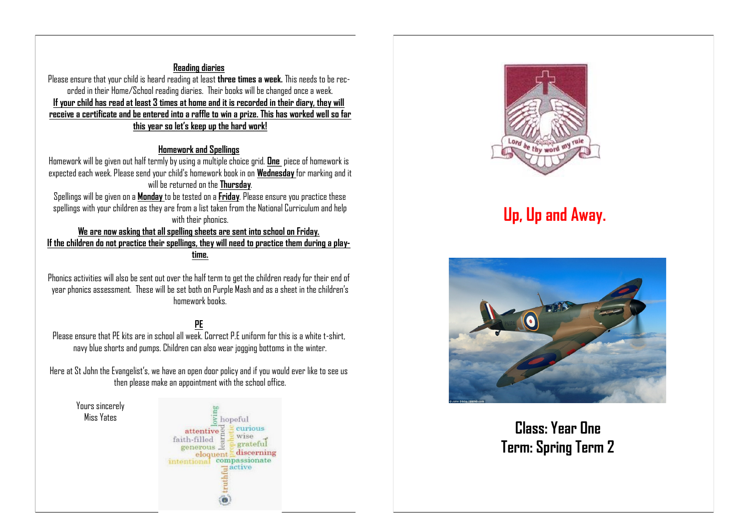#### **Reading diaries**

Please ensure that your child is heard reading at least **three times a week.** This needs to be recorded in their Home/School reading diaries. Their books will be changed once a week. **If your child has read at least 3 times at home and it is recorded in their diary, they will receive a certificate and be entered into a raffle to win a prize. This has worked well so far this year so let's keep up the hard work!**

#### **Homework and Spellings**

Homework will be given out half termly by using a multiple choice grid. **One** piece of homework is expected each week. Please send your child's homework book in on **Wednesday** for marking and it will be returned on the **Thursday**.

Spellings will be given on a **Monday** to be tested on a **Friday**. Please ensure you practice these spellings with your children as they are from a list taken from the National Curriculum and help with their phonics.

**We are now asking that all spelling sheets are sent into school on Friday. If the children do not practice their spellings, they will need to practice them during a playtime.** 

Phonics activities will also be sent out over the half term to get the children ready for their end of year phonics assessment. These will be set both on Purple Mash and as a sheet in the children's homework books.

#### **PE**

Please ensure that PF kits are in school all week. Correct P.F. uniform for this is a white t-shirt navy blue shorts and pumps. Children can also wear jogging bottoms in the winter.

Here at St John the Evangelist's, we have an open door policy and if you would ever like to see us then please make an appointment with the school office.

Yours sincerely Miss Yates

 $\frac{1}{6}$  hopeful curious attentive<sup>2</sup> wise faith-filled eith-filled =<br>generous = grateful eloquent discernin discerning  $\Xi$ active



# **Up, Up and Away.**



**Class: Year One Term: Spring Term 2**